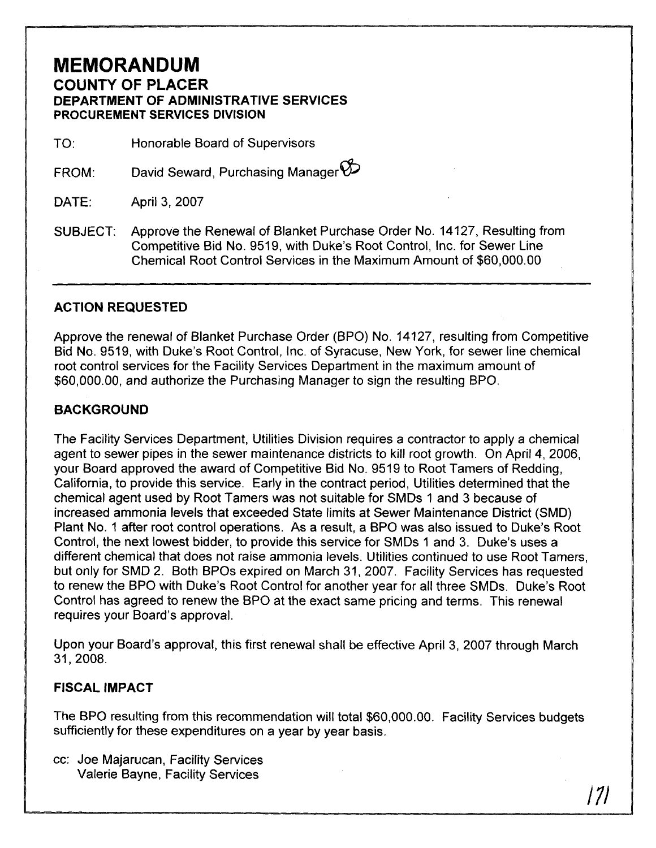## **MEMORANDUM COUNTY OF PLACER DEPARTMENT OF ADMINISTRATIVE SERVICES PROCUREMENT SERVICES DIVISION**

TO: Honorable Board of Supervisors

David Seward, Purchasing Manager  $\varnothing$ FROM:

April 3, 2007 DATE:

SUBJECT: Approve the Renewal of Blanket Purchase Order No. 14127, Resulting from Competitive Bid No. 9519, with Duke's Root Control, Inc. for Sewer Line Chemical Root Control Services in the Maximum Amount of \$60,000.00

## **ACTION REQUESTED**

Approve the renewal of Blanket Purchase Order (BPO) No. 14127, resulting from Competitive Bid No. 9519, with Duke's Root Control, Inc. of Syracuse, New York, for sewer line chemical root control services for the Facility Services Department in the maximum amount of \$60,000.00, and authorize the Purchasing Manager to sign the resulting BPO.

## **BACKGROUND**

The Facility Services Department, Utilities Division requires a contractor to apply a chemical agent to sewer pipes in the sewer maintenance districts to kill root growth. On April 4, 2006, your Board approved the award of Competitive Bid No. 9519 to Root Tamers of Redding, California, to provide this service. Early in the contract period, Utilities determined that the chemical agent used by Root Tamers was not suitable for SMDs 1 and 3 because of increased ammonia levels that exceeded State limits at Sewer Maintenance District (SMD) Plant No. 1 after root control operations. As a result, a BPO was also issued to Duke's Root Control, the next lowest bidder, to provide this service for SMDs 1 and 3. Duke's uses a different chemical that does not raise ammonia levels. Utilities continued to use Root Tamers, but only for SMD 2. Both BPOs expired on March 31, 2007. Facility Services has requested to renew the BPO with Duke's Root Control for another year for all three SMDs. Duke's Root Control has agreed to renew the BPO at the exact same pricing and terms. This renewal requires your Board's approval.

Upon your Board's approval, this first renewal shall be effective April 3, 2007 through March

## **FISCAL IMPACT**

The BPO resulting from this recommendation will total \$60,000.00. Facility Services budgets sufficiently for these expenditures on a year by year basis.

cc: Joe Majarucan, Facility Services Valerie Bayne, Facility Services